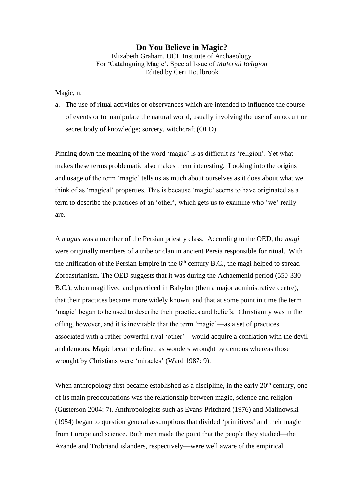## **Do You Believe in Magic?**

Elizabeth Graham, UCL Institute of Archaeology For 'Cataloguing Magic', Special Issue of *Material Religion* Edited by Ceri Houlbrook

Magic, n.

a. The use of ritual activities or observances which are intended to influence the course of events or to manipulate the natural world, usually involving the use of an occult or secret body of knowledge; sorcery, witchcraft (OED)

Pinning down the meaning of the word 'magic' is as difficult as 'religion'. Yet what makes these terms problematic also makes them interesting. Looking into the origins and usage of the term 'magic' tells us as much about ourselves as it does about what we think of as 'magical' properties. This is because 'magic' seems to have originated as a term to describe the practices of an 'other', which gets us to examine who 'we' really are.

A *magus* was a member of the Persian priestly class. According to the OED, the *magi* were originally members of a tribe or clan in ancient Persia responsible for ritual. With the unification of the Persian Empire in the  $6<sup>th</sup>$  century B.C., the magi helped to spread Zoroastrianism. The OED suggests that it was during the Achaemenid period (550-330 B.C.), when magi lived and practiced in Babylon (then a major administrative centre), that their practices became more widely known, and that at some point in time the term 'magic' began to be used to describe their practices and beliefs. Christianity was in the offing, however, and it is inevitable that the term 'magic'—as a set of practices associated with a rather powerful rival 'other'—would acquire a conflation with the devil and demons. Magic became defined as wonders wrought by demons whereas those wrought by Christians were 'miracles' (Ward 1987: 9).

When anthropology first became established as a discipline, in the early 20<sup>th</sup> century, one of its main preoccupations was the relationship between magic, science and religion (Gusterson 2004: 7). Anthropologists such as Evans-Pritchard (1976) and Malinowski (1954) began to question general assumptions that divided 'primitives' and their magic from Europe and science. Both men made the point that the people they studied—the Azande and Trobriand islanders, respectively—were well aware of the empirical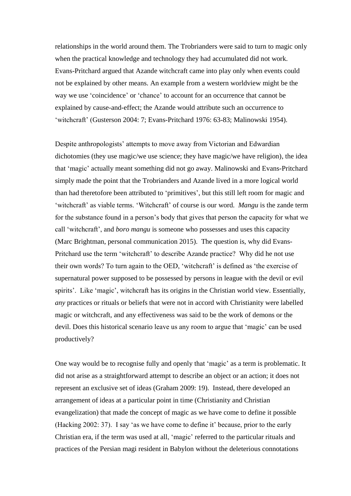relationships in the world around them. The Trobrianders were said to turn to magic only when the practical knowledge and technology they had accumulated did not work. Evans-Pritchard argued that Azande witchcraft came into play only when events could not be explained by other means. An example from a western worldview might be the way we use 'coincidence' or 'chance' to account for an occurrence that cannot be explained by cause-and-effect; the Azande would attribute such an occurrence to 'witchcraft' (Gusterson 2004: 7; Evans-Pritchard 1976: 63-83; Malinowski 1954).

Despite anthropologists' attempts to move away from Victorian and Edwardian dichotomies (they use magic/we use science; they have magic/we have religion), the idea that 'magic' actually meant something did not go away. Malinowski and Evans-Pritchard simply made the point that the Trobrianders and Azande lived in a more logical world than had theretofore been attributed to 'primitives', but this still left room for magic and 'witchcraft' as viable terms. 'Witchcraft' of course is our word. *Mangu* is the zande term for the substance found in a person's body that gives that person the capacity for what we call 'witchcraft', and *boro mangu* is someone who possesses and uses this capacity (Marc Brightman, personal communication 2015). The question is, why did Evans-Pritchard use the term 'witchcraft' to describe Azande practice? Why did he not use their own words? To turn again to the OED, 'witchcraft' is defined as 'the exercise of supernatural power supposed to be possessed by persons in league with the devil or evil spirits'. Like 'magic', witchcraft has its origins in the Christian world view. Essentially, *any* practices or rituals or beliefs that were not in accord with Christianity were labelled magic or witchcraft, and any effectiveness was said to be the work of demons or the devil. Does this historical scenario leave us any room to argue that 'magic' can be used productively?

One way would be to recognise fully and openly that 'magic' as a term is problematic. It did not arise as a straightforward attempt to describe an object or an action; it does not represent an exclusive set of ideas (Graham 2009: 19). Instead, there developed an arrangement of ideas at a particular point in time (Christianity and Christian evangelization) that made the concept of magic as we have come to define it possible (Hacking 2002: 37). I say 'as we have come to define it' because, prior to the early Christian era, if the term was used at all, 'magic' referred to the particular rituals and practices of the Persian magi resident in Babylon without the deleterious connotations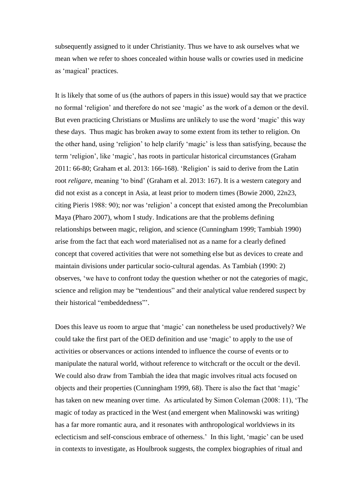subsequently assigned to it under Christianity. Thus we have to ask ourselves what we mean when we refer to shoes concealed within house walls or cowries used in medicine as 'magical' practices.

It is likely that some of us (the authors of papers in this issue) would say that we practice no formal 'religion' and therefore do not see 'magic' as the work of a demon or the devil. But even practicing Christians or Muslims are unlikely to use the word 'magic' this way these days. Thus magic has broken away to some extent from its tether to religion. On the other hand, using 'religion' to help clarify 'magic' is less than satisfying, because the term 'religion', like 'magic', has roots in particular historical circumstances (Graham 2011: 66-80; Graham et al. 2013: 166-168). 'Religion' is said to derive from the Latin root *religare,* meaning 'to bind' (Graham et al. 2013: 167). It is a western category and did not exist as a concept in Asia, at least prior to modern times (Bowie 2000, 22n23, citing Pieris 1988: 90); nor was 'religion' a concept that existed among the Precolumbian Maya (Pharo 2007), whom I study. Indications are that the problems defining relationships between magic, religion, and science (Cunningham 1999; Tambiah 1990) arise from the fact that each word materialised not as a name for a clearly defined concept that covered activities that were not something else but as devices to create and maintain divisions under particular socio-cultural agendas. As Tambiah (1990: 2) observes, 'we have to confront today the question whether or not the categories of magic, science and religion may be "tendentious" and their analytical value rendered suspect by their historical "embeddedness"'.

Does this leave us room to argue that 'magic' can nonetheless be used productively? We could take the first part of the OED definition and use 'magic' to apply to the use of activities or observances or actions intended to influence the course of events or to manipulate the natural world, without reference to witchcraft or the occult or the devil. We could also draw from Tambiah the idea that magic involves ritual acts focused on objects and their properties (Cunningham 1999, 68). There is also the fact that 'magic' has taken on new meaning over time. As articulated by Simon Coleman (2008: 11), 'The magic of today as practiced in the West (and emergent when Malinowski was writing) has a far more romantic aura, and it resonates with anthropological worldviews in its eclecticism and self-conscious embrace of otherness.' In this light, 'magic' can be used in contexts to investigate, as Houlbrook suggests, the complex biographies of ritual and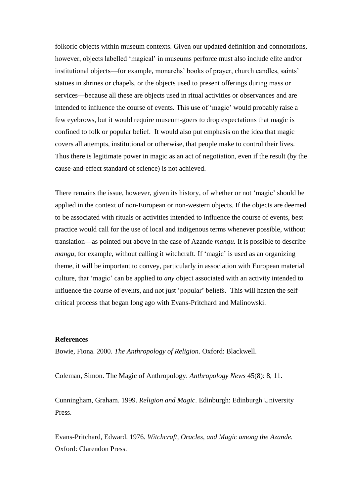folkoric objects within museum contexts. Given our updated definition and connotations, however, objects labelled 'magical' in museums perforce must also include elite and/or institutional objects—for example, monarchs' books of prayer, church candles, saints' statues in shrines or chapels, or the objects used to present offerings during mass or services—because all these are objects used in ritual activities or observances and are intended to influence the course of events. This use of 'magic' would probably raise a few eyebrows, but it would require museum-goers to drop expectations that magic is confined to folk or popular belief. It would also put emphasis on the idea that magic covers all attempts, institutional or otherwise, that people make to control their lives. Thus there is legitimate power in magic as an act of negotiation, even if the result (by the cause-and-effect standard of science) is not achieved.

There remains the issue, however, given its history, of whether or not 'magic' should be applied in the context of non-European or non-western objects. If the objects are deemed to be associated with rituals or activities intended to influence the course of events, best practice would call for the use of local and indigenous terms whenever possible, without translation—as pointed out above in the case of Azande *mangu.* It is possible to describe *mangu*, for example, without calling it witchcraft. If 'magic' is used as an organizing theme, it will be important to convey, particularly in association with European material culture, that 'magic' can be applied to *any* object associated with an activity intended to influence the course of events, and not just 'popular' beliefs. This will hasten the selfcritical process that began long ago with Evans-Pritchard and Malinowski.

## **References**

Bowie, Fiona. 2000. *The Anthropology of Religion*. Oxford: Blackwell.

Coleman, Simon. The Magic of Anthropology. *Anthropology News* 45(8): 8, 11.

Cunningham, Graham. 1999. *Religion and Magic*. Edinburgh: Edinburgh University Press.

Evans-Pritchard, Edward. 1976. *Witchcraft, Oracles, and Magic among the Azande.* Oxford: Clarendon Press.